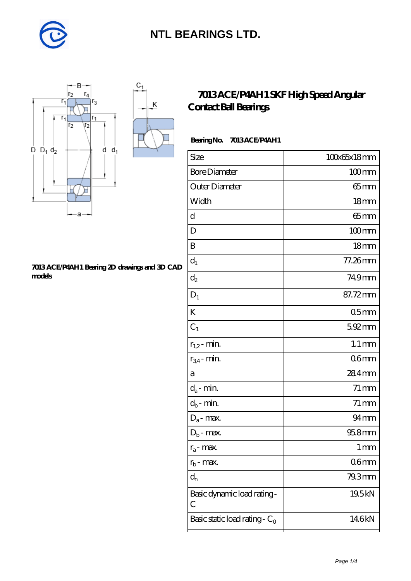

K



#### **[7013 ACE/P4AH1 Bearing 2D drawings and 3D CAD](https://diabetesfriends.net/pic-590761.html) [models](https://diabetesfriends.net/pic-590761.html)**

### **[7013 ACE/P4AH1 SKF High Speed Angular](https://diabetesfriends.net/skf-bearing/7013-ace-p4ah1.html) [Contact Ball Bearings](https://diabetesfriends.net/skf-bearing/7013-ace-p4ah1.html)**

### Bearing No. 7013 ACE/P4AH1

| 100x65x18mm         |
|---------------------|
| $100$ mm            |
| 65mm                |
| 18 <sub>mm</sub>    |
| $65$ mm             |
| $100$ mm            |
| 18 <sub>mm</sub>    |
| 77.26mm             |
| 749mm               |
| 87.72mm             |
| 05 <sub>mm</sub>    |
| 592mm               |
| $1.1 \,\mathrm{mm}$ |
| 06 <sub>mm</sub>    |
| 284mm               |
| $71 \,\mathrm{mm}$  |
| $71 \,\mathrm{mm}$  |
| $94 \text{mm}$      |
| $958$ mm            |
| $1 \, \mathrm{mm}$  |
| 06 <sub>mm</sub>    |
| 79.3mm              |
| 19.5kN              |
| 146kN               |
|                     |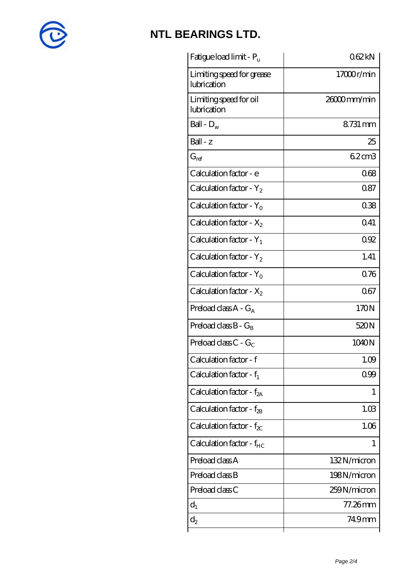

| Fatigue load limit - Pu                  | 062kN       |
|------------------------------------------|-------------|
| Limiting speed for grease<br>lubrication | 17000r/min  |
| Limiting speed for oil<br>lubrication    | 26000mm/min |
| Ball - $D_w$                             | 8731 mm     |
| Ball - z                                 | 25          |
| $G_{ref}$                                | 62cm3       |
| Calculation factor - e                   | 068         |
| Calculation factor - $Y_2$               | 087         |
| Calculation factor - $Y_0$               | 038         |
| Calculation factor - $X_2$               | 0.41        |
| Calculation factor - $Y_1$               | 092         |
| Calculation factor - $Y_2$               | 1.41        |
| Calculation factor - $Y_0$               | 0.76        |
| Calculation factor - $X_2$               | 067         |
| Preload class $A - G_A$                  | 170N        |
| Preload class $B - G_B$                  | 520N        |
| Preload class $C$ - $G_C$                | 1040N       |
| Calculation factor - f                   | 1.09        |
| Calculation factor - $f_1$               | 0.99        |
| Calculation factor - $f_{2A}$            | 1           |
| Calculation factor - $f_{\rm 2B}$        | 1.03        |
| Calculation factor - $f_{\chi}$          | 1.06        |
| Calculation factor - $f_{HC}$            | 1           |
| Preload class A                          | 132N/micron |
| Preload class B                          | 198N/micron |
| Preload class C                          | 259N/micron |
| $d_1$                                    | 77.26mm     |
| $d_2$                                    | 749mm       |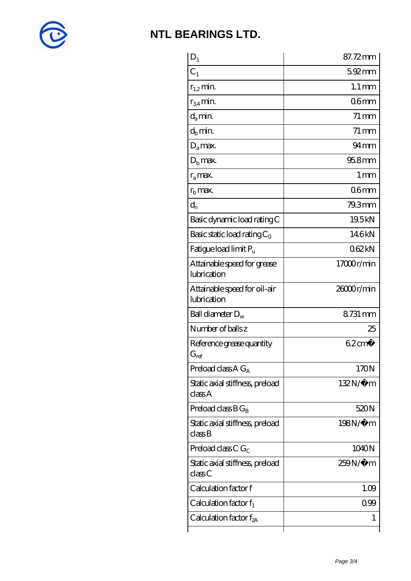

| $D_1$                                         | 87.72mm             |
|-----------------------------------------------|---------------------|
| $C_1$                                         | 5.92mm              |
| $r_{1,2}$ min.                                | $1.1 \,\mathrm{mm}$ |
| $r_{34}$ min.                                 | 06 <sub>mm</sub>    |
| $d_{a}$ min.                                  | $71 \,\mathrm{mm}$  |
| $d_h$ min.                                    | $71 \,\mathrm{mm}$  |
| $D_a$ max.                                    | $94 \text{mm}$      |
| $Db$ max.                                     | 95.8mm              |
| $r_a$ max.                                    | $1 \,\mathrm{mm}$   |
| $r_{\rm b}$ max.                              | 06 <sub>mm</sub>    |
| $d_{n}$                                       | 79.3mm              |
| Basic dynamic load rating C                   | 19.5kN              |
| Basic static load rating $C_0$                | 146kN               |
| Fatigue load limit Pu                         | 062kN               |
| Attainable speed for grease<br>lubrication    | 17000r/min          |
| Attainable speed for oil-air<br>lubrication   | 26000r/min          |
| Ball diameter $D_w$                           | 8731 mm             |
| Number of balls z                             | 25                  |
| Reference grease quantity<br>$G_{\text{ref}}$ | $62 \text{cm}^3$    |
| Preload class $A G_A$                         | 170N                |
| Static axial stiffness, preload<br>classA     | $132N/\mu$ m        |
| Preload class $BG_B$                          | 520N                |
| Static axial stiffness, preload<br>classB     | 198N/μ m            |
| Preload class C $G_C$                         | 1040N               |
| Static axial stiffness, preload<br>classC     | $259N/\mu$ m        |
| Calculation factor f                          | 1.09                |
| Calculation factor $f_1$                      | 099                 |
| C alculation factor $f_{2A}$                  | 1                   |
|                                               |                     |